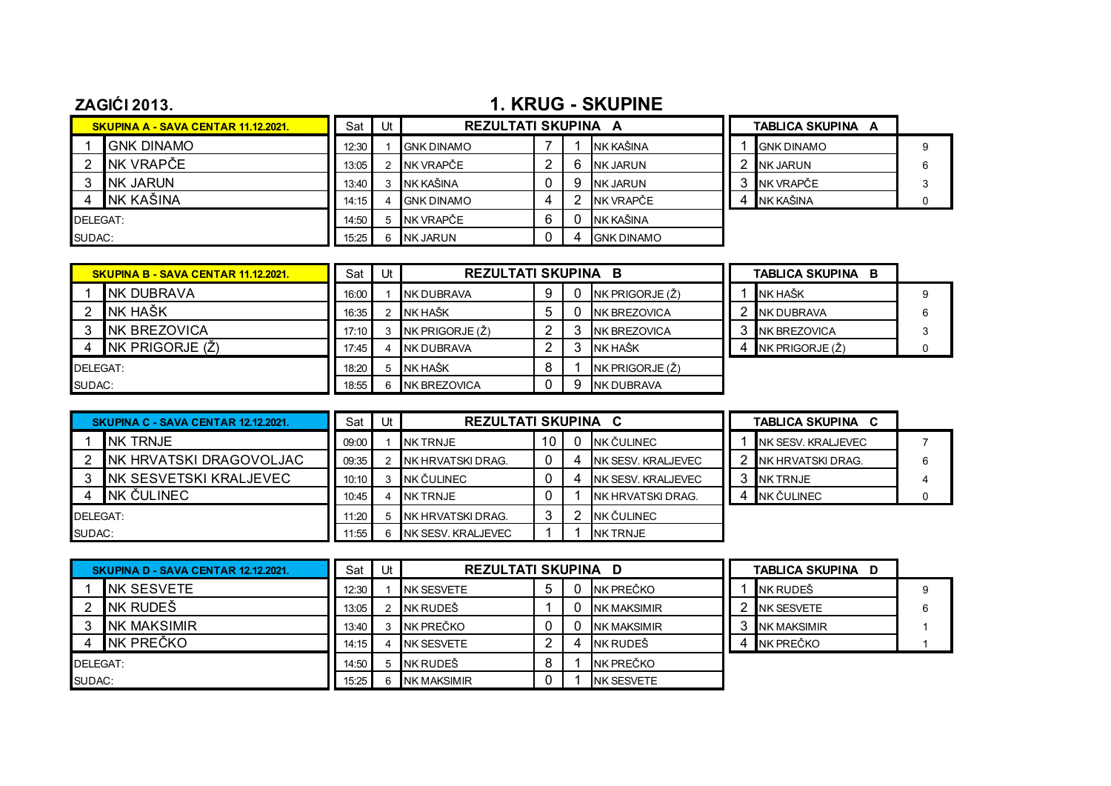## **ZAGIĆI 2013. 1. KRUG - SKUPINE**

|          | <b>SKUPINA A - SAVA CENTAR 11.12.2021.</b> | Sat   | Ut | <b>REZULTATI SKUPINA A</b> |   |                   | TABLICA SKUPINA A |  |
|----------|--------------------------------------------|-------|----|----------------------------|---|-------------------|-------------------|--|
|          | <b>GNK DINAMO</b>                          | 12:30 |    | <b>GNK DINAMO</b>          |   | NK KAŠINA         | <b>GNK DINAMO</b> |  |
|          | NK VRAPČE                                  | 13:05 |    | NK VRAPČE                  |   | <b>INK JARUN</b>  | <b>NK JARUN</b>   |  |
|          | <b>NK JARUN</b>                            | 13:40 | 3  | NK KAŠINA                  | a | <b>NK JARUN</b>   | NK VRAPČE         |  |
|          | NK KAŠINA                                  | 14:15 | 4  | <b>IGNK DINAMO</b>         |   | NK VRAPČE         | NK KAŠINA         |  |
| DELEGAT: |                                            | 14:50 |    | 5 NK VRAPČE                |   | NK KAŠINA         |                   |  |
| SUDAC:   |                                            | 15:25 | հ․ | NK JARUN                   |   | <b>GNK DINAMO</b> |                   |  |

| <b>SKUPINA B - SAVA CENTAR 11.12.2021.</b> |                      | Sat   | Ut | <b>REZULTATI SKUPINA B</b> |   |                       | TABLICA SKUPINA<br>- B |  |
|--------------------------------------------|----------------------|-------|----|----------------------------|---|-----------------------|------------------------|--|
|                                            | <b>NK DUBRAVA</b>    | 16:00 |    | INK DUBRAVA                | 9 | NK PRIGORJE $(\zeta)$ | <b>NK HAŠK</b>         |  |
|                                            | INK HAŠK             | 16:35 |    | <b>NK HAŠK</b>             |   | <b>INK BREZOVICA</b>  | <b>NK DUBRAVA</b>      |  |
|                                            | <b>INK BREZOVICA</b> | 17:10 |    | NK PRIGORJE $(\zeta)$      |   | <b>INK BREZOVICA</b>  | NK BREZOVICA           |  |
|                                            | NK PRIGORJE (Ž)      | 17:45 |    | NK DUBRAVA                 |   | <b>NK HAŠK</b>        | NK PRIGORJE $(\zeta)$  |  |
| DELEGAT:                                   |                      | 18:20 |    | <b>I</b> NK HAŠK           |   | NK PRIGORJE (Z)       |                        |  |
| SUDAC:                                     |                      | 18:55 |    | NK BREZOVICA               |   | <b>NK DUBRAVA</b>     |                        |  |

|          | SKUPINA C - SAVA CENTAR 12.12.2021. | Sat   | Ut | <b>REZULTATI SKUPINA C</b> |    |                            | <b>TABLICA SKUPINA</b><br>C |  |
|----------|-------------------------------------|-------|----|----------------------------|----|----------------------------|-----------------------------|--|
|          | <b>NK TRNJE</b>                     | 09:00 |    | <b>NK TRNJE</b>            | 10 | NK ČULINEC                 | INK SESV. KRALJEVEC         |  |
|          | INK HRVATSKI DRAGOVOLJAC            | 09:35 |    | <b>NK HRVATSKI DRAG.</b>   |    | <b>NK SESV. KRALJEVEC</b>  | NK HRVATSKI DRAG.           |  |
|          | INK SESVETSKI KRALJEVEC             | 10:10 |    | NK ČULINEC                 |    | <b>INK SESV. KRALJEVEC</b> | NK TRNJE                    |  |
|          | INK ČULINEC                         | 10:45 |    | NK TRNJE                   |    | INK HRVATSKI DRAG.         | NK ČULINEC                  |  |
| DELEGAT: |                                     | 1:20  |    | INK HRVATSKI DRAG.         |    | <b>INK ČULINEC</b>         |                             |  |
| SUDAC:   |                                     | 1:55  |    | NK SESV. KRALJEVEC         |    | <b>NK TRNJE</b>            |                             |  |

|          | SKUPINA D - SAVA CENTAR 12.12.2021. | Sat   | Ut |                    | <b>REZULTATI SKUPINA D</b> |  |                    |  | TABLICA SKUPINA D  |  |
|----------|-------------------------------------|-------|----|--------------------|----------------------------|--|--------------------|--|--------------------|--|
|          | <b>INK SESVETE</b>                  | 12:30 |    | INK SESVETE        |                            |  | NK PREČKO          |  | NK RUDEŠ           |  |
|          | NK RUDEŠ                            | 13.05 |    | INK RUDEŠ          |                            |  | <b>NK MAKSIMIR</b> |  | <b>NK SESVETE</b>  |  |
|          | INK MAKSIMIR                        | 13:40 |    | NK PREČKO          |                            |  | <b>NK MAKSIMIR</b> |  | <b>NK MAKSIMIR</b> |  |
|          | INK PREČKO                          | 14:15 |    | <b>INK SESVETE</b> |                            |  | NK RUDEŠ           |  | NK PREČKO          |  |
| DELEGAT: |                                     | 14:50 |    | 5 INKRUDEŠ         |                            |  | NK PREČKO          |  |                    |  |
| SUDAC:   |                                     | 15.25 |    | <b>NK MAKSIMIR</b> |                            |  | <b>NK SESVETE</b>  |  |                    |  |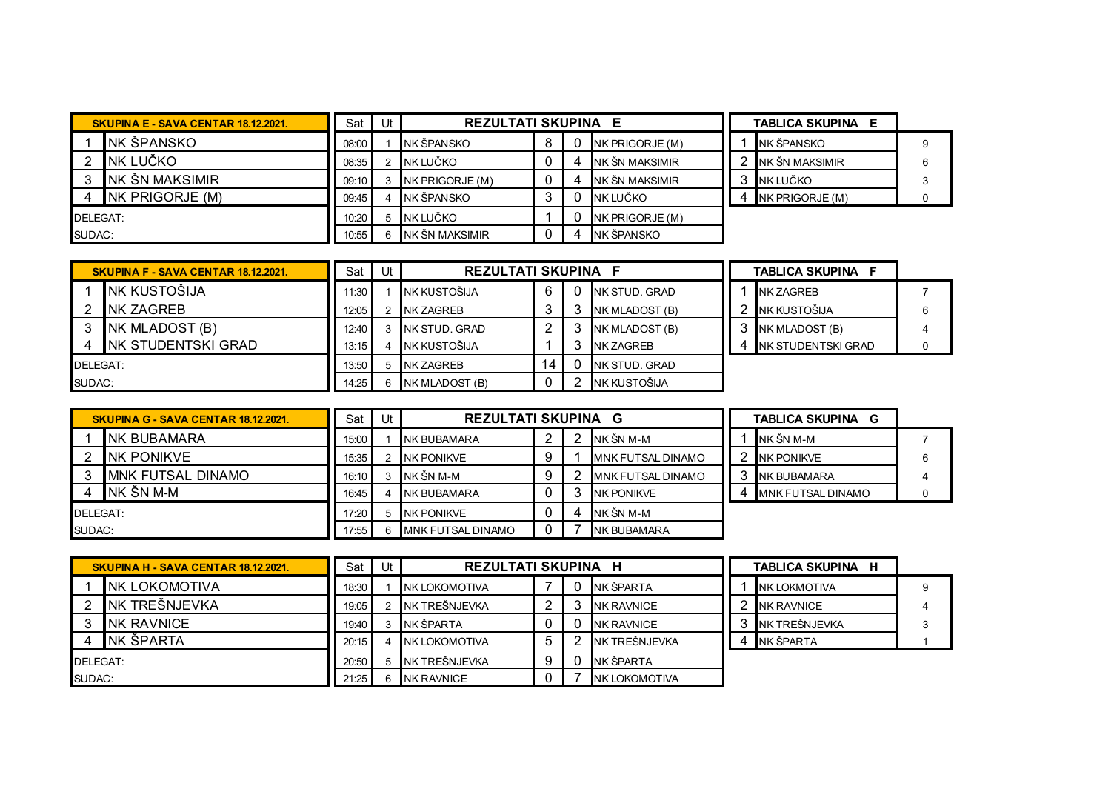|          | <b>SKUPINA E - SAVA CENTAR 18.12.2021.</b> | Sat   | Jt | <b>REZULTATI SKUPINA E</b> |          |                        | <b>TABLICA SKUPINA E</b> |  |
|----------|--------------------------------------------|-------|----|----------------------------|----------|------------------------|--------------------------|--|
|          | INK ŠPANSKO                                | 08:00 |    | NK ŠPANSKO                 | $\Omega$ | NK PRIGORJE (M)        | <b>INK ŠPANSKO</b>       |  |
|          | NK LUČKO                                   | 08:35 |    | NK LUČKO                   | 4        | <b>INK ŠN MAKSIMIR</b> | <b>INK ŠN MAKSIMIR</b>   |  |
|          | INK ŠN MAKSIMIR                            | 09:10 |    | NK PRIGORJE (M)            | 4        | <b>INK ŠN MAKSIMIR</b> | NK LUČKO                 |  |
|          | $NK$ PRIGORJE $(M)$                        | 09:45 |    | NK ŠPANSKO                 |          | NK LUČKO               | NK PRIGORJE (M)          |  |
| DELEGAT: |                                            | 10:20 |    | INK LUČKO                  |          | <b>NK PRIGORJE (M)</b> |                          |  |
| SUDAC:   |                                            | 10:55 |    | NK ŠN MAKSIMIR             | 4        | NK ŠPANSKO             |                          |  |

|          | <b>SKUPINA F - SAVA CENTAR 18.12.2021.</b> | Sat I | Ut | <b>REZULTATI SKUPINA</b> |   |                  | <b>TABLICA SKUPINA F</b> |  |
|----------|--------------------------------------------|-------|----|--------------------------|---|------------------|--------------------------|--|
|          | <b>NK KUSTOŠIJA</b>                        | 11:30 |    | NK KUSTOŠIJA             |   | INK STUD, GRAD   | <b>NK ZAGREB</b>         |  |
|          | <b>NK ZAGREB</b>                           | 12:05 |    | NK ZAGREB                |   | NK MLADOST (B)   | NK KUSTOŠIJA             |  |
|          | NK MLADOST (B)                             | 12:40 |    | INK STUD. GRAD           |   | NK MLADOST (B)   | NK MLADOST (B)           |  |
|          | INK STUDENTSKI GRAD                        | 13:15 |    | NK KUSTOŠIJA             |   | <b>NK ZAGREB</b> | INK STUDENTSKI GRAD      |  |
| DELEGAT: |                                            | 13:50 |    | 5 NK ZAGREB              | 4 | INK STUD, GRAD   |                          |  |
| SUDAC:   |                                            | 14:25 |    | <b>NK MLADOST (B)</b>    |   | NK KUSTOŠIJA     |                          |  |

|          | <b>SKUPINA G - SAVA CENTAR 18.12.2021.</b> | Sat   | $Ut$ , | <b>REZULTATI SKUPINA G</b> |  |   |                           | <b>TABLICA SKUPINA</b><br>G |                           |  |
|----------|--------------------------------------------|-------|--------|----------------------------|--|---|---------------------------|-----------------------------|---------------------------|--|
|          | INK BUBAMARA                               | 15:00 |        | NK BUBAMARA                |  |   | NK ŠN M-M                 |                             | NK ŠN M-M                 |  |
|          | INK PONIKVE                                | 15:35 |        | NK PONIKVE                 |  |   | <b>IMNK FUTSAL DINAMO</b> |                             | <b>NK PONIKVE</b>         |  |
|          | <b>MNK FUTSAL DINAMO</b>                   | 16:10 |        | NK ŠN M-M                  |  |   | <b>IMNK FUTSAL DINAMO</b> |                             | NK BUBAMARA               |  |
|          | INK ŠN M-M                                 | 16:45 |        | <b>NK BUBAMARA</b>         |  |   | <b>NK PONIKVE</b>         |                             | <b>IMNK FUTSAL DINAMO</b> |  |
| DELEGAT: |                                            | 17:20 |        | <b>NK PONIKVE</b>          |  | ∠ | NK ŠN M-M                 |                             |                           |  |
| SUDAC:   |                                            | 17:55 |        | <b>IMNK FUTSAL DINAMO</b>  |  |   | NK BUBAMARA               |                             |                           |  |

|          | SKUPINA H - SAVA CENTAR 18.12.2021. | Sat I | Ut J | <b>REZULTATI SKUPINA H</b> |  |                       | TABLICA SKUPINA H    |  |
|----------|-------------------------------------|-------|------|----------------------------|--|-----------------------|----------------------|--|
|          | INK LOKOMOTIVA                      | 18:30 |      | INK LOKOMOTIVA             |  | <b>INK ŠPARTA</b>     | <b>INK LOKMOTIVA</b> |  |
|          | INK TREŠNJEVKA                      | 19:05 |      | NK TREŠNJEVKA              |  | <b>NK RAVNICE</b>     | <b>NK RAVNICE</b>    |  |
|          | <b>NK RAVNICE</b>                   | 19:40 |      | NK ŠPARTA                  |  | <b>NK RAVNICE</b>     | INK TREŠNJEVKA       |  |
|          | <b>NK ŠPARTA</b>                    | 20:15 |      | <b>NK LOKOMOTIVA</b>       |  | NK TREŠNJEVKA         | INK ŠPARTA           |  |
| DELEGAT: |                                     | 20:50 |      | NK TREŠNJEVKA              |  | NK ŠPARTA             |                      |  |
| SUDAC:   |                                     | 21:25 |      | <b>NK RAVNICE</b>          |  | <b>INK LOKOMOTIVA</b> |                      |  |